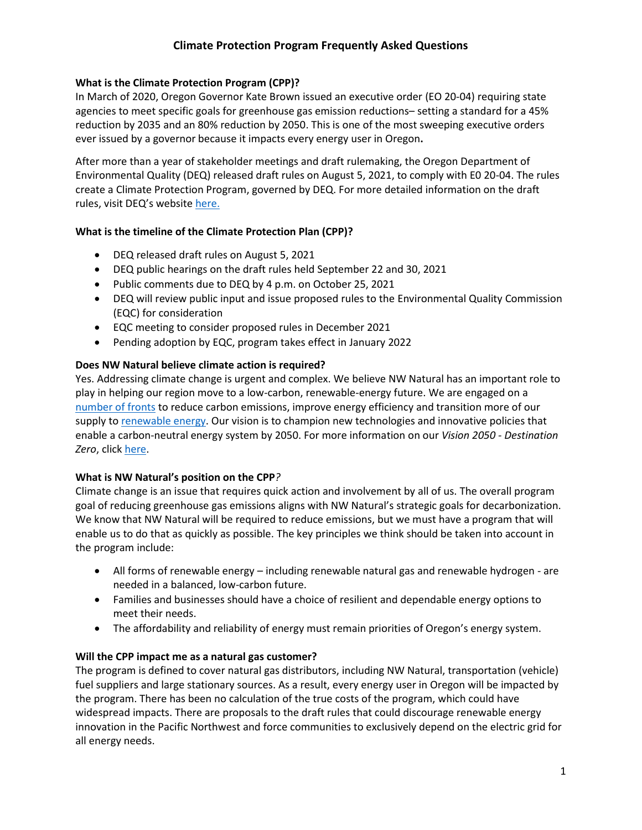# **Climate Protection Program Frequently Asked Questions**

## **What is the Climate Protection Program (CPP)?**

In March of 2020, Oregon Governor Kate Brown issued an executive order (EO 20-04) requiring state agencies to meet specific goals for greenhouse gas emission reductions– setting a standard for a 45% reduction by 2035 and an 80% reduction by 2050. This is one of the most sweeping executive orders ever issued by a governor because it impacts every energy user in Oregon**.**

After more than a year of stakeholder meetings and draft rulemaking, the Oregon Department of Environmental Quality (DEQ) released draft rules on August 5, 2021, to comply with E0 20-04. The rules create a Climate Protection Program, governed by DEQ. For more detailed information on the draft rules, visit DEQ's website [here.](https://www.oregon.gov/deq/Regulations/rulemaking/RuleDocuments/GHGCR2021Notice.pdf)

## **What is the timeline of the Climate Protection Plan (CPP)?**

- DEQ released draft rules on August 5, 2021
- DEQ public hearings on the draft rules held September 22 and 30, 2021
- Public comments due to DEQ by 4 p.m. on October 25, 2021
- DEQ will review public input and issue proposed rules to the Environmental Quality Commission (EQC) for consideration
- EQC meeting to consider proposed rules in December 2021
- Pending adoption by EQC, program takes effect in January 2022

## **Does NW Natural believe climate action is required?**

Yes. Addressing climate change is urgent and complex. We believe NW Natural has an important role to play in helping our region move to a low-carbon, renewable-energy future. We are engaged on a [number of fronts](https://www.nwnatural.com/about-us/the-company/sustainability) to reduce carbon emissions, improve energy efficiency and transition more of our supply t[o renewable energy.](https://www.nwnatural.com/about-us/the-company/newsroom/2021-element-markets-partnership) Our vision is to champion new technologies and innovative policies that enable a carbon-neutral energy system by 2050. For more information on our *Vision 2050 - Destination Zero*, click [here.](https://nwndestinationzero.com/)

## **What is NW Natural's position on the CPP***?*

Climate change is an issue that requires quick action and involvement by all of us. The overall program goal of reducing greenhouse gas emissions aligns with NW Natural's strategic goals for decarbonization. We know that NW Natural will be required to reduce emissions, but we must have a program that will enable us to do that as quickly as possible. The key principles we think should be taken into account in the program include:

- All forms of renewable energy including renewable natural gas and renewable hydrogen are needed in a balanced, low-carbon future.
- Families and businesses should have a choice of resilient and dependable energy options to meet their needs.
- The affordability and reliability of energy must remain priorities of Oregon's energy system.

## **Will the CPP impact me as a natural gas customer?**

The program is defined to cover natural gas distributors, including NW Natural, transportation (vehicle) fuel suppliers and large stationary sources. As a result, every energy user in Oregon will be impacted by the program. There has been no calculation of the true costs of the program, which could have widespread impacts. There are proposals to the draft rules that could discourage renewable energy innovation in the Pacific Northwest and force communities to exclusively depend on the electric grid for all energy needs.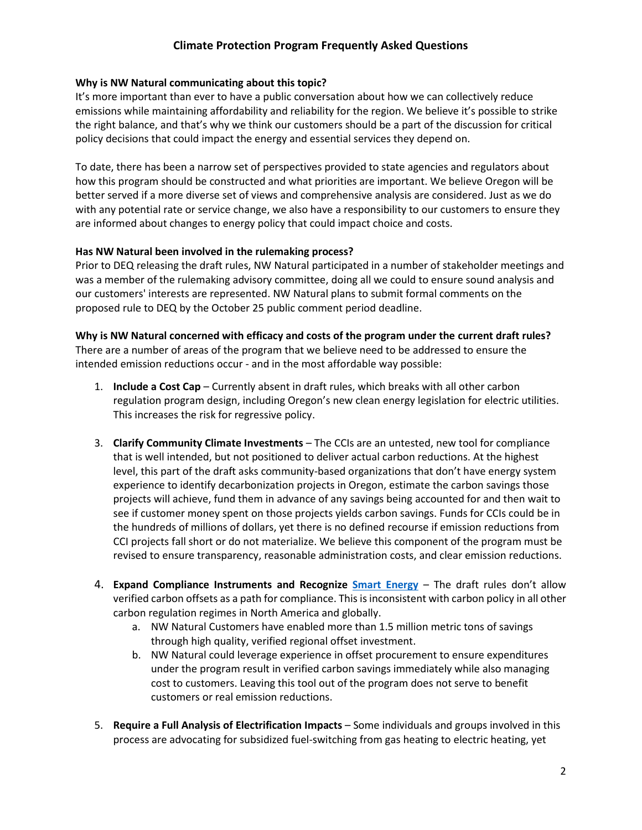# **Climate Protection Program Frequently Asked Questions**

### **Why is NW Natural communicating about this topic?**

It's more important than ever to have a public conversation about how we can collectively reduce emissions while maintaining affordability and reliability for the region. We believe it's possible to strike the right balance, and that's why we think our customers should be a part of the discussion for critical policy decisions that could impact the energy and essential services they depend on.

To date, there has been a narrow set of perspectives provided to state agencies and regulators about how this program should be constructed and what priorities are important. We believe Oregon will be better served if a more diverse set of views and comprehensive analysis are considered. Just as we do with any potential rate or service change, we also have a responsibility to our customers to ensure they are informed about changes to energy policy that could impact choice and costs.

### **Has NW Natural been involved in the rulemaking process?**

Prior to DEQ releasing the draft rules, NW Natural participated in a number of stakeholder meetings and was a member of the rulemaking advisory committee, doing all we could to ensure sound analysis and our customers' interests are represented. NW Natural plans to submit formal comments on the proposed rule to DEQ by the October 25 public comment period deadline.

### **Why is NW Natural concerned with efficacy and costs of the program under the current draft rules?**

There are a number of areas of the program that we believe need to be addressed to ensure the intended emission reductions occur - and in the most affordable way possible:

- 1. **Include a Cost Cap**  Currently absent in draft rules, which breaks with all other carbon regulation program design, including Oregon's new clean energy legislation for electric utilities. This increases the risk for regressive policy.
- 3. **Clarify Community Climate Investments**  The CCIs are an untested, new tool for compliance that is well intended, but not positioned to deliver actual carbon reductions. At the highest level, this part of the draft asks community-based organizations that don't have energy system experience to identify decarbonization projects in Oregon, estimate the carbon savings those projects will achieve, fund them in advance of any savings being accounted for and then wait to see if customer money spent on those projects yields carbon savings. Funds for CCIs could be in the hundreds of millions of dollars, yet there is no defined recourse if emission reductions from CCI projects fall short or do not materialize. We believe this component of the program must be revised to ensure transparency, reasonable administration costs, and clear emission reductions.
- 4. **Expand Compliance Instruments and Recognize [Smart Energy](https://www.nwnatural.com/about-us/carbon-offset-program/about-smart-energy)** The draft rules don't allow verified carbon offsets as a path for compliance. This is inconsistent with carbon policy in all other carbon regulation regimes in North America and globally.
	- a. NW Natural Customers have enabled more than 1.5 million metric tons of savings through high quality, verified regional offset investment.
	- b. NW Natural could leverage experience in offset procurement to ensure expenditures under the program result in verified carbon savings immediately while also managing cost to customers. Leaving this tool out of the program does not serve to benefit customers or real emission reductions.
- 5. **Require a Full Analysis of Electrification Impacts** Some individuals and groups involved in this process are advocating for subsidized fuel-switching from gas heating to electric heating, yet